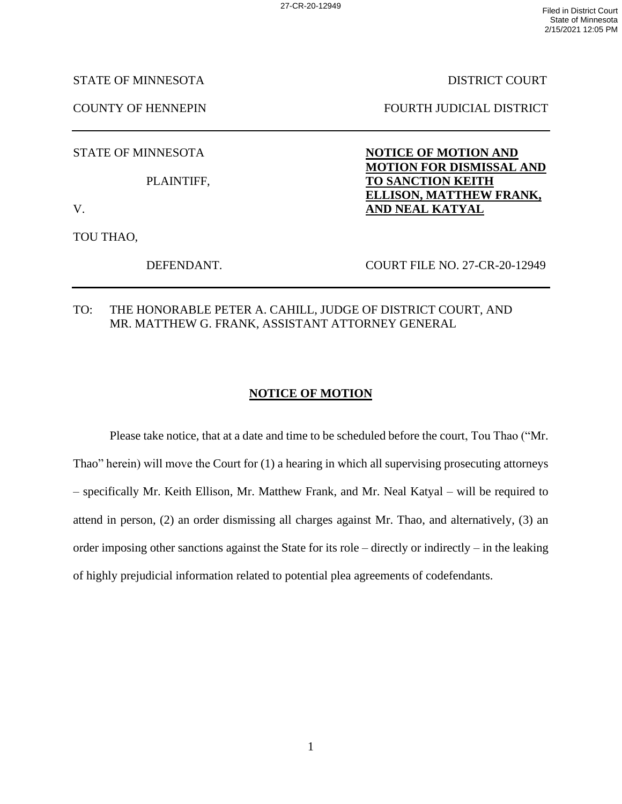STATE OF MINNESOTA DISTRICT COURT

COUNTY OF HENNEPIN FOURTH JUDICIAL DISTRICT

STATE OF MINNESOTA **NOTICE OF MOTION AND** 

PLAINTIFF, **TO SANCTION KEITH**

V. **AND NEAL KATYAL**

TOU THAO,

DEFENDANT. COURT FILE NO. 27-CR-20-12949

**MOTION FOR DISMISSAL AND**

**ELLISON, MATTHEW FRANK,** 

TO: THE HONORABLE PETER A. CAHILL, JUDGE OF DISTRICT COURT, AND MR. MATTHEW G. FRANK, ASSISTANT ATTORNEY GENERAL

## **NOTICE OF MOTION**

Please take notice, that at a date and time to be scheduled before the court, Tou Thao ("Mr. Thao" herein) will move the Court for (1) a hearing in which all supervising prosecuting attorneys – specifically Mr. Keith Ellison, Mr. Matthew Frank, and Mr. Neal Katyal – will be required to attend in person, (2) an order dismissing all charges against Mr. Thao, and alternatively, (3) an order imposing other sanctions against the State for its role – directly or indirectly – in the leaking of highly prejudicial information related to potential plea agreements of codefendants.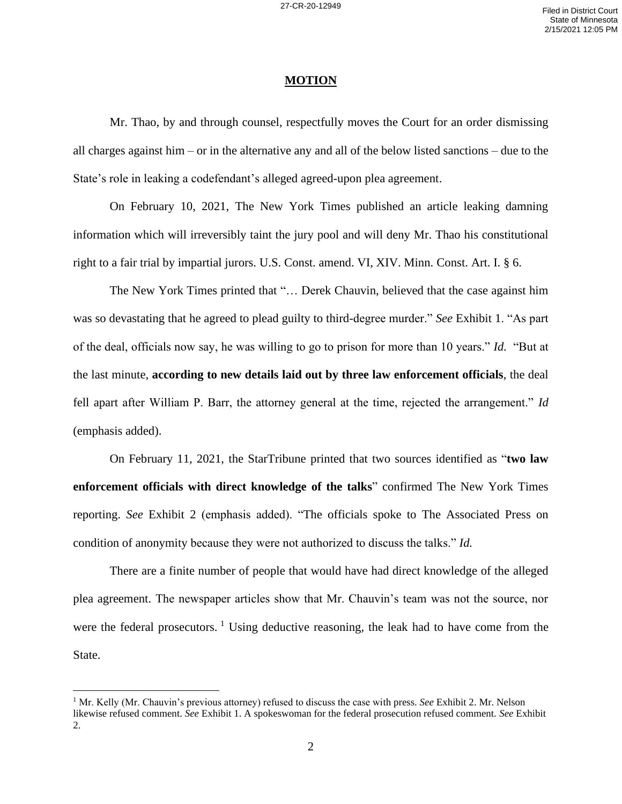## **MOTION**

Mr. Thao, by and through counsel, respectfully moves the Court for an order dismissing all charges against him – or in the alternative any and all of the below listed sanctions – due to the State's role in leaking a codefendant's alleged agreed-upon plea agreement.

On February 10, 2021, The New York Times published an article leaking damning information which will irreversibly taint the jury pool and will deny Mr. Thao his constitutional right to a fair trial by impartial jurors. U.S. Const. amend. VI, XIV. Minn. Const. Art. I. § 6.

The New York Times printed that "… Derek Chauvin, believed that the case against him was so devastating that he agreed to plead guilty to third-degree murder." *See* Exhibit 1. "As part of the deal, officials now say, he was willing to go to prison for more than 10 years." *Id.* "But at the last minute, **according to new details laid out by three law enforcement officials**, the deal fell apart after William P. Barr, the attorney general at the time, rejected the arrangement." *Id* (emphasis added).

On February 11, 2021, the StarTribune printed that two sources identified as "**two law enforcement officials with direct knowledge of the talks**" confirmed The New York Times reporting. *See* Exhibit 2 (emphasis added). "The officials spoke to The Associated Press on condition of anonymity because they were not authorized to discuss the talks." *Id.*

There are a finite number of people that would have had direct knowledge of the alleged plea agreement. The newspaper articles show that Mr. Chauvin's team was not the source, nor were the federal prosecutors.  $\frac{1}{1}$  Using deductive reasoning, the leak had to have come from the State.

<sup>1</sup> Mr. Kelly (Mr. Chauvin's previous attorney) refused to discuss the case with press. *See* Exhibit 2. Mr. Nelson likewise refused comment. *See* Exhibit 1. A spokeswoman for the federal prosecution refused comment. *See* Exhibit 2.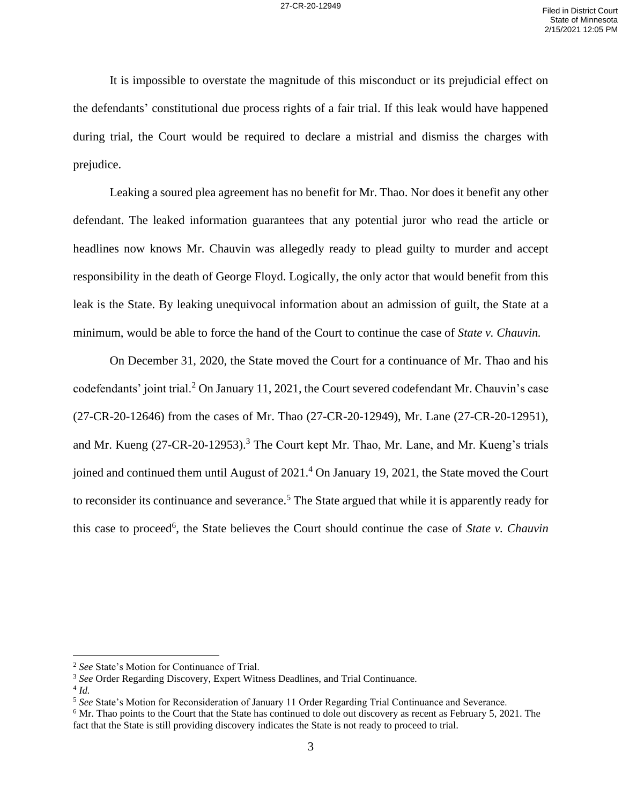It is impossible to overstate the magnitude of this misconduct or its prejudicial effect on the defendants' constitutional due process rights of a fair trial. If this leak would have happened during trial, the Court would be required to declare a mistrial and dismiss the charges with prejudice.

Leaking a soured plea agreement has no benefit for Mr. Thao. Nor does it benefit any other defendant. The leaked information guarantees that any potential juror who read the article or headlines now knows Mr. Chauvin was allegedly ready to plead guilty to murder and accept responsibility in the death of George Floyd. Logically, the only actor that would benefit from this leak is the State. By leaking unequivocal information about an admission of guilt, the State at a minimum, would be able to force the hand of the Court to continue the case of *State v. Chauvin.*

On December 31, 2020, the State moved the Court for a continuance of Mr. Thao and his codefendants' joint trial.<sup>2</sup> On January 11, 2021, the Court severed codefendant Mr. Chauvin's case (27-CR-20-12646) from the cases of Mr. Thao (27-CR-20-12949), Mr. Lane (27-CR-20-12951), and Mr. Kueng (27-CR-20-12953).<sup>3</sup> The Court kept Mr. Thao, Mr. Lane, and Mr. Kueng's trials joined and continued them until August of 2021.<sup>4</sup> On January 19, 2021, the State moved the Court to reconsider its continuance and severance.<sup>5</sup> The State argued that while it is apparently ready for this case to proceed<sup>6</sup>, the State believes the Court should continue the case of *State v. Chauvin* 

<sup>2</sup> *See* State's Motion for Continuance of Trial.

<sup>3</sup> *See* Order Regarding Discovery, Expert Witness Deadlines, and Trial Continuance.

<sup>4</sup> *Id.*

<sup>5</sup> *See* State's Motion for Reconsideration of January 11 Order Regarding Trial Continuance and Severance.

<sup>&</sup>lt;sup>6</sup> Mr. Thao points to the Court that the State has continued to dole out discovery as recent as February 5, 2021. The fact that the State is still providing discovery indicates the State is not ready to proceed to trial.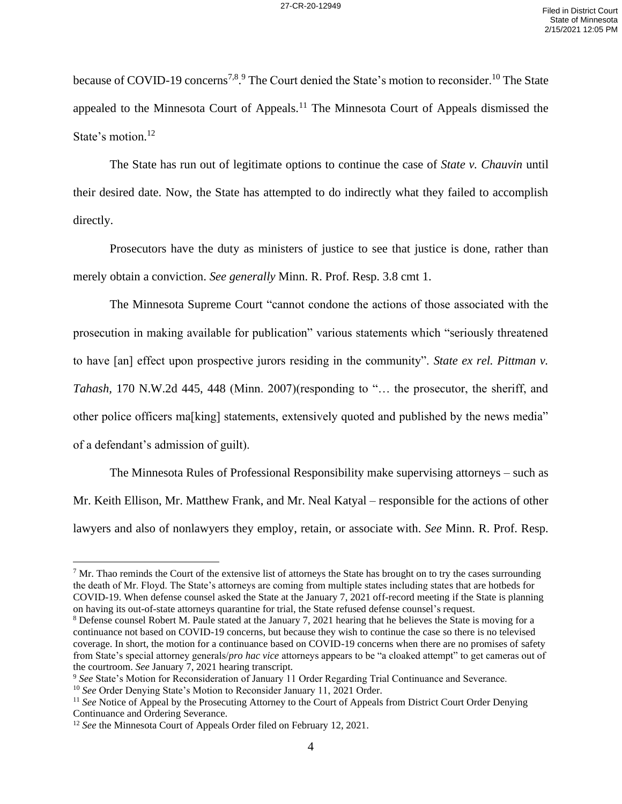because of COVID-19 concerns<sup>7,8</sup>.<sup>9</sup> The Court denied the State's motion to reconsider.<sup>10</sup> The State appealed to the Minnesota Court of Appeals.<sup>11</sup> The Minnesota Court of Appeals dismissed the State's motion.<sup>12</sup>

The State has run out of legitimate options to continue the case of *State v. Chauvin* until their desired date. Now, the State has attempted to do indirectly what they failed to accomplish directly.

Prosecutors have the duty as ministers of justice to see that justice is done, rather than merely obtain a conviction. *See generally* Minn. R. Prof. Resp. 3.8 cmt 1.

The Minnesota Supreme Court "cannot condone the actions of those associated with the prosecution in making available for publication" various statements which "seriously threatened to have [an] effect upon prospective jurors residing in the community". *State ex rel. Pittman v. Tahash,* 170 N.W.2d 445, 448 (Minn. 2007)(responding to "… the prosecutor, the sheriff, and other police officers ma[king] statements, extensively quoted and published by the news media" of a defendant's admission of guilt).

The Minnesota Rules of Professional Responsibility make supervising attorneys – such as Mr. Keith Ellison, Mr. Matthew Frank, and Mr. Neal Katyal – responsible for the actions of other lawyers and also of nonlawyers they employ, retain, or associate with. *See* Minn. R. Prof. Resp.

 $<sup>7</sup>$  Mr. Thao reminds the Court of the extensive list of attorneys the State has brought on to try the cases surrounding</sup> the death of Mr. Floyd. The State's attorneys are coming from multiple states including states that are hotbeds for COVID-19. When defense counsel asked the State at the January 7, 2021 off-record meeting if the State is planning on having its out-of-state attorneys quarantine for trial, the State refused defense counsel's request.

<sup>&</sup>lt;sup>8</sup> Defense counsel Robert M. Paule stated at the January 7, 2021 hearing that he believes the State is moving for a continuance not based on COVID-19 concerns, but because they wish to continue the case so there is no televised coverage. In short, the motion for a continuance based on COVID-19 concerns when there are no promises of safety from State's special attorney generals/*pro hac vice* attorneys appears to be "a cloaked attempt" to get cameras out of the courtroom. *See* January 7, 2021 hearing transcript.

<sup>9</sup> *See* State's Motion for Reconsideration of January 11 Order Regarding Trial Continuance and Severance.

<sup>&</sup>lt;sup>10</sup> See Order Denying State's Motion to Reconsider January 11, 2021 Order.

<sup>&</sup>lt;sup>11</sup> See Notice of Appeal by the Prosecuting Attorney to the Court of Appeals from District Court Order Denying Continuance and Ordering Severance.

<sup>&</sup>lt;sup>12</sup> *See* the Minnesota Court of Appeals Order filed on February 12, 2021.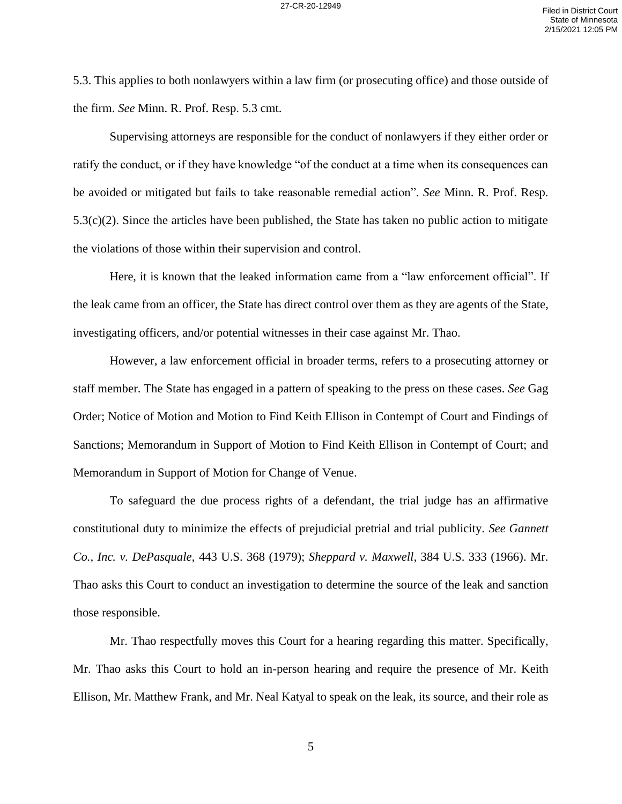5.3. This applies to both nonlawyers within a law firm (or prosecuting office) and those outside of the firm. *See* Minn. R. Prof. Resp. 5.3 cmt.

Supervising attorneys are responsible for the conduct of nonlawyers if they either order or ratify the conduct, or if they have knowledge "of the conduct at a time when its consequences can be avoided or mitigated but fails to take reasonable remedial action". *See* Minn. R. Prof. Resp. 5.3(c)(2). Since the articles have been published, the State has taken no public action to mitigate the violations of those within their supervision and control.

Here, it is known that the leaked information came from a "law enforcement official". If the leak came from an officer, the State has direct control over them as they are agents of the State, investigating officers, and/or potential witnesses in their case against Mr. Thao.

However, a law enforcement official in broader terms, refers to a prosecuting attorney or staff member. The State has engaged in a pattern of speaking to the press on these cases. *See* Gag Order; Notice of Motion and Motion to Find Keith Ellison in Contempt of Court and Findings of Sanctions; Memorandum in Support of Motion to Find Keith Ellison in Contempt of Court; and Memorandum in Support of Motion for Change of Venue.

To safeguard the due process rights of a defendant, the trial judge has an affirmative constitutional duty to minimize the effects of prejudicial pretrial and trial publicity. *See Gannett Co., Inc. v. DePasquale,* 443 U.S. 368 (1979); *Sheppard v. Maxwell,* 384 U.S. 333 (1966). Mr. Thao asks this Court to conduct an investigation to determine the source of the leak and sanction those responsible.

Mr. Thao respectfully moves this Court for a hearing regarding this matter. Specifically, Mr. Thao asks this Court to hold an in-person hearing and require the presence of Mr. Keith Ellison, Mr. Matthew Frank, and Mr. Neal Katyal to speak on the leak, its source, and their role as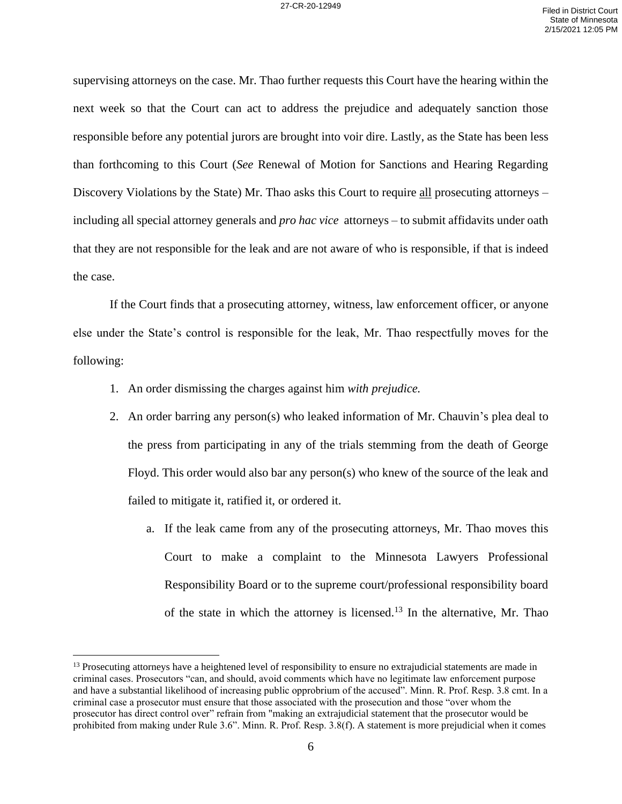supervising attorneys on the case. Mr. Thao further requests this Court have the hearing within the next week so that the Court can act to address the prejudice and adequately sanction those responsible before any potential jurors are brought into voir dire. Lastly, as the State has been less than forthcoming to this Court (*See* Renewal of Motion for Sanctions and Hearing Regarding Discovery Violations by the State) Mr. Thao asks this Court to require all prosecuting attorneys – including all special attorney generals and *pro hac vice* attorneys – to submit affidavits under oath that they are not responsible for the leak and are not aware of who is responsible, if that is indeed the case.

If the Court finds that a prosecuting attorney, witness, law enforcement officer, or anyone else under the State's control is responsible for the leak, Mr. Thao respectfully moves for the following:

- 1. An order dismissing the charges against him *with prejudice.*
- 2. An order barring any person(s) who leaked information of Mr. Chauvin's plea deal to the press from participating in any of the trials stemming from the death of George Floyd. This order would also bar any person(s) who knew of the source of the leak and failed to mitigate it, ratified it, or ordered it.
	- a. If the leak came from any of the prosecuting attorneys, Mr. Thao moves this Court to make a complaint to the Minnesota Lawyers Professional Responsibility Board or to the supreme court/professional responsibility board of the state in which the attorney is licensed.<sup>13</sup> In the alternative, Mr. Thao

<sup>&</sup>lt;sup>13</sup> Prosecuting attorneys have a heightened level of responsibility to ensure no extrajudicial statements are made in criminal cases. Prosecutors "can, and should, avoid comments which have no legitimate law enforcement purpose and have a substantial likelihood of increasing public opprobrium of the accused". Minn. R. Prof. Resp. 3.8 cmt. In a criminal case a prosecutor must ensure that those associated with the prosecution and those "over whom the prosecutor has direct control over" refrain from "making an extrajudicial statement that the prosecutor would be prohibited from making under Rule 3.6". Minn. R. Prof. Resp. 3.8(f). A statement is more prejudicial when it comes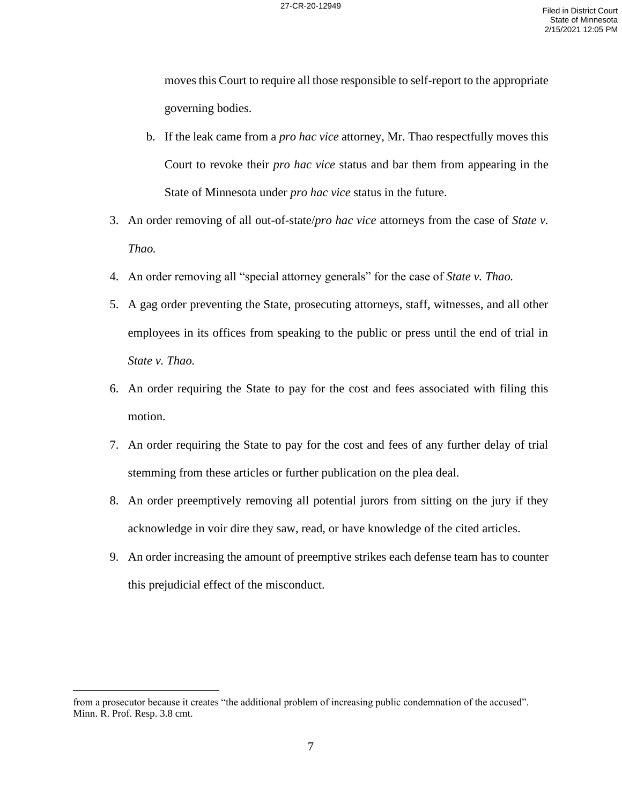moves this Court to require all those responsible to self-report to the appropriate governing bodies.

- b. If the leak came from a *pro hac vice* attorney, Mr. Thao respectfully moves this Court to revoke their *pro hac vice* status and bar them from appearing in the State of Minnesota under *pro hac vice* status in the future.
- 3. An order removing of all out-of-state/*pro hac vice* attorneys from the case of *State v. Thao.*
- 4. An order removing all "special attorney generals" for the case of *State v. Thao.*
- 5. A gag order preventing the State, prosecuting attorneys, staff, witnesses, and all other employees in its offices from speaking to the public or press until the end of trial in *State v. Thao.*
- 6. An order requiring the State to pay for the cost and fees associated with filing this motion.
- 7. An order requiring the State to pay for the cost and fees of any further delay of trial stemming from these articles or further publication on the plea deal.
- 8. An order preemptively removing all potential jurors from sitting on the jury if they acknowledge in voir dire they saw, read, or have knowledge of the cited articles.
- 9. An order increasing the amount of preemptive strikes each defense team has to counter this prejudicial effect of the misconduct.

from a prosecutor because it creates "the additional problem of increasing public condemnation of the accused". Minn. R. Prof. Resp. 3.8 cmt.